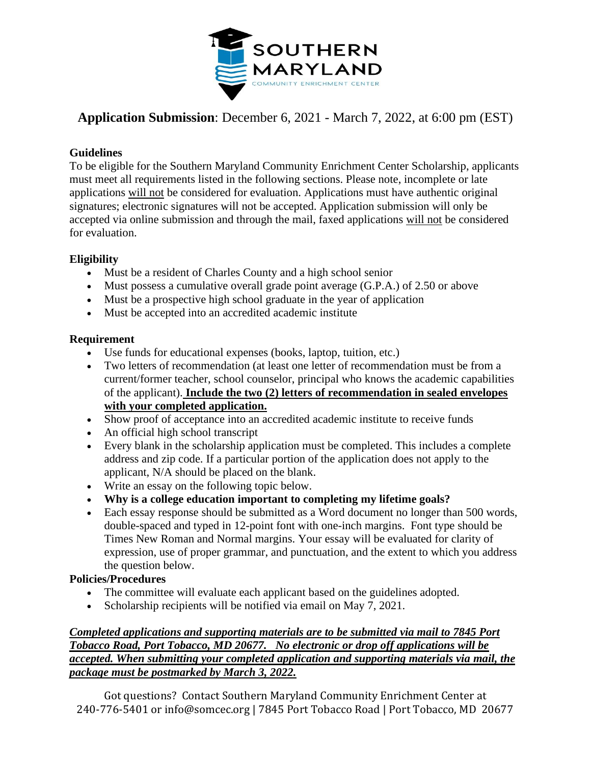

# **Application Submission**: December 6, 2021 - March 7, 2022, at 6:00 pm (EST)

### **Guidelines**

To be eligible for the Southern Maryland Community Enrichment Center Scholarship, applicants must meet all requirements listed in the following sections. Please note, incomplete or late applications will not be considered for evaluation. Applications must have authentic original signatures; electronic signatures will not be accepted. Application submission will only be accepted via online submission and through the mail, faxed applications will not be considered for evaluation.

# **Eligibility**

- Must be a resident of Charles County and a high school senior
- Must possess a cumulative overall grade point average (G.P.A.) of 2.50 or above
- Must be a prospective high school graduate in the year of application
- Must be accepted into an accredited academic institute

### **Requirement**

- Use funds for educational expenses (books, laptop, tuition, etc.)
- Two letters of recommendation (at least one letter of recommendation must be from a current/former teacher, school counselor, principal who knows the academic capabilities of the applicant). **Include the two (2) letters of recommendation in sealed envelopes with your completed application.**
- Show proof of acceptance into an accredited academic institute to receive funds
- An official high school transcript
- Every blank in the scholarship application must be completed. This includes a complete address and zip code. If a particular portion of the application does not apply to the applicant, N/A should be placed on the blank.
- Write an essay on the following topic below.
- **Why is a college education important to completing my lifetime goals?**
- Each essay response should be submitted as a Word document no longer than 500 words, double-spaced and typed in 12-point font with one-inch margins. Font type should be Times New Roman and Normal margins. Your essay will be evaluated for clarity of expression, use of proper grammar, and punctuation, and the extent to which you address the question below.

# **Policies/Procedures**

- The committee will evaluate each applicant based on the guidelines adopted.
- Scholarship recipients will be notified via email on May 7, 2021.

### *Completed applications and supporting materials are to be submitted via mail to 7845 Port Tobacco Road, Port Tobacco, MD 20677. No electronic or drop off applications will be accepted. When submitting your completed application and supporting materials via mail, the package must be postmarked by March 3, 2022.*

Got questions? Contact Southern Maryland Community Enrichment Center at 240-776-5401 or info@somcec.org | 7845 Port Tobacco Road | Port Tobacco, MD 20677